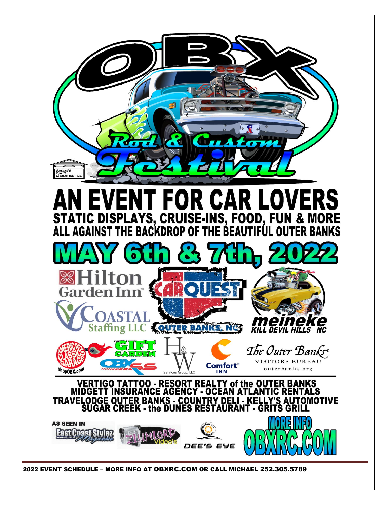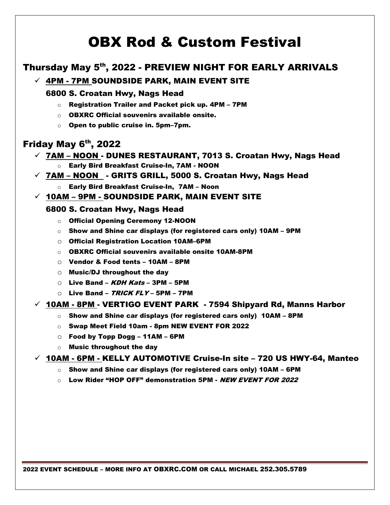# OBX Rod & Custom Festival

# Thursday May 5th, 2022 - PREVIEW NIGHT FOR EARLY ARRIVALS

# $\checkmark$  4PM - 7PM SOUNDSIDE PARK, MAIN EVENT SITE

#### 6800 S. Croatan Hwy, Nags Head

- o Registration Trailer and Packet pick up. 4PM 7PM
- o OBXRC Official souvenirs available onsite.
- o Open to public cruise in. 5pm–7pm.

# Friday May 6<sup>th</sup>, 2022

# $\checkmark$  7AM – NOON - DUNES RESTAURANT, 7013 S. Croatan Hwy, Nags Head

- o Early Bird Breakfast Cruise-In, 7AM NOON
- $\checkmark$  7AM NOON GRITS GRILL, 5000 S. Croatan Hwy, Nags Head
	- o Early Bird Breakfast Cruise-In, 7AM Noon

### $\checkmark$  10AM – 9PM - SOUNDSIDE PARK, MAIN EVENT SITE

### 6800 S. Croatan Hwy, Nags Head

- o Official Opening Ceremony 12-NOON
- $\circ$  Show and Shine car displays (for registered cars only) 10AM 9PM
- o Official Registration Location 10AM–6PM
- o OBXRC Official souvenirs available onsite 10AM-8PM
- o Vendor & Food tents 10AM 8PM
- o Music/DJ throughout the day
- $\circ$  Live Band KDH Kats 3PM 5PM
- $\circ$  Live Band TRICK FLY 5PM 7PM

## $\checkmark$  10AM - 8PM - VERTIGO EVENT PARK - 7594 Shipyard Rd, Manns Harbor

- $\circ$  Show and Shine car displays (for registered cars only) 10AM 8PM
- o Swap Meet Field 10am 8pm NEW EVENT FOR 2022
- o Food by Topp Dogg 11AM 6PM
- o Music throughout the day

## $\checkmark$  10AM - 6PM - KELLY AUTOMOTIVE Cruise-In site – 720 US HWY-64, Manteo

- o Show and Shine car displays (for registered cars only) 10AM 6PM
- Low Rider "HOP OFF" demonstration 5PM *NEW EVENT FOR 2022*

2022 EVENT SCHEDULE – MORE INFO AT OBXRC.COM OR CALL MICHAEL 252.305.5789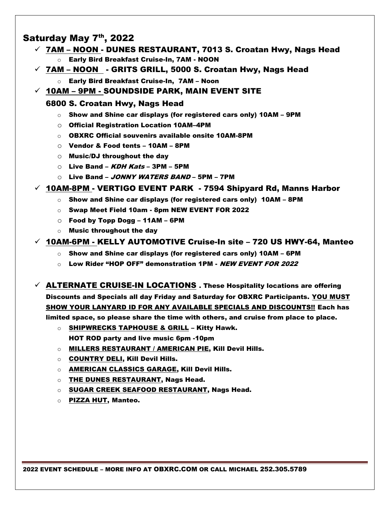# Saturday May 7th, 2022

- $\checkmark$  7AM NOON DUNES RESTAURANT, 7013 S. Croatan Hwy, Nags Head o Early Bird Breakfast Cruise-In, 7AM - NOON
- $\checkmark$  7AM NOON  $\;$  GRITS GRILL, 5000 S. Croatan Hwy, Nags Head
	- o Early Bird Breakfast Cruise-In, 7AM Noon
- $\checkmark$  10AM 9PM SOUNDSIDE PARK, MAIN EVENT SITE

## 6800 S. Croatan Hwy, Nags Head

- $\circ$  Show and Shine car displays (for registered cars only) 10AM 9PM
- o Official Registration Location 10AM–4PM
- o OBXRC Official souvenirs available onsite 10AM-8PM
- o Vendor & Food tents 10AM 8PM
- o Music/DJ throughout the day
- $\circ$  Live Band KDH Kats 3PM 5PM
- Live Band JONNY WATERS BAND 5PM 7PM

### $\checkmark$  10AM-8PM - VERTIGO EVENT PARK - 7594 Shipyard Rd, Manns Harbor

- $\circ$  Show and Shine car displays (for registered cars only) 10AM 8PM
- o Swap Meet Field 10am 8pm NEW EVENT FOR 2022
- $\circ$  Food by Topp Dogg 11AM 6PM
- o Music throughout the day

### $\checkmark$  10AM-6PM - KELLY AUTOMOTIVE Cruise-In site – 720 US HWY-64, Manteo

- $\circ$  Show and Shine car displays (for registered cars only) 10AM 6PM
- $\circ$  Low Rider "HOP OFF" demonstration 1PM NEW EVENT FOR 2022
- $\checkmark$  ALTERNATE CRUISE-IN LOCATIONS . These Hospitality locations are offering Discounts and Specials all day Friday and Saturday for OBXRC Participants. YOU MUST SHOW YOUR LANYARD ID FOR ANY AVAILABLE SPECIALS AND DISCOUNTS!! Each has limited space, so please share the time with others, and cruise from place to place.
	- o SHIPWRECKS TAPHOUSE & GRILL Kitty Hawk. HOT ROD party and live music 6pm -10pm
	- $\circ$  MILLERS RESTAURANT / AMERICAN PIE, Kill Devil Hills.
	- o COUNTRY DELI, Kill Devil Hills.
	- o AMERICAN CLASSICS GARAGE, Kill Devil Hills.
	- o THE DUNES RESTAURANT, Nags Head.
	- o SUGAR CREEK SEAFOOD RESTAURANT, Nags Head.
	- o PIZZA HUT, Manteo.